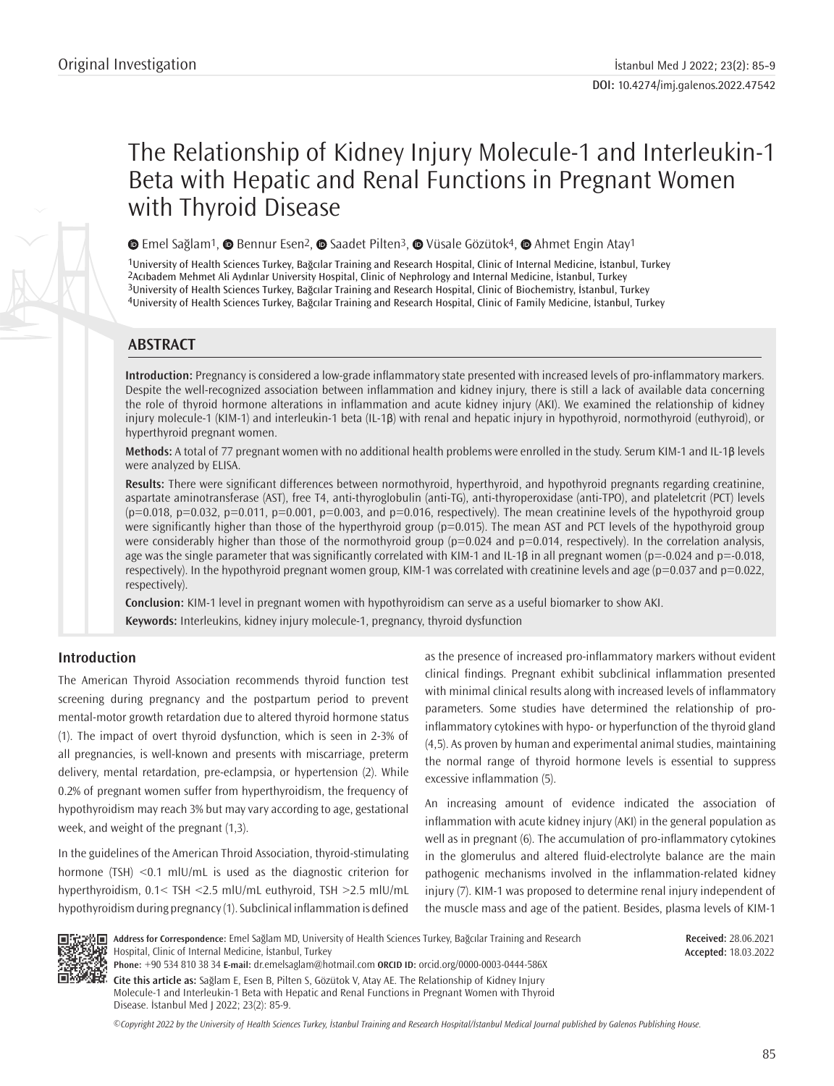# The Relationship of Kidney Injury Molecule-1 and Interleukin-1 Beta with Hepatic and Renal Functions in Pregnant Women with Thyroid Disease

**©**Emel Sağlam<sup>1</sup>, **©** Bennur Esen<sup>2</sup>, **©** Saadet Pilten<sup>3</sup>, **©** Vüsale Gözütok<sup>4</sup>, **©** Ahmet Engin Atay<sup>1</sup>

University of Health Sciences Turkey, Bağcılar Training and Research Hospital, Clinic of Internal Medicine, İstanbul, Turkey Acıbadem Mehmet Ali Aydınlar University Hospital, Clinic of Nephrology and Internal Medicine, İstanbul, Turkey University of Health Sciences Turkey, Bağcılar Training and Research Hospital, Clinic of Biochemistry, İstanbul, Turkey University of Health Sciences Turkey, Bağcılar Training and Research Hospital, Clinic of Family Medicine, İstanbul, Turkey

# **ABSTRACT**

**Introduction:** Pregnancy is considered a low-grade inflammatory state presented with increased levels of pro-inflammatory markers. Despite the well-recognized association between inflammation and kidney injury, there is still a lack of available data concerning the role of thyroid hormone alterations in inflammation and acute kidney injury (AKI). We examined the relationship of kidney injury molecule-1 (KIM-1) and interleukin-1 beta (IL-1β) with renal and hepatic injury in hypothyroid, normothyroid (euthyroid), or hyperthyroid pregnant women.

**Methods:** A total of 77 pregnant women with no additional health problems were enrolled in the study. Serum KIM-1 and IL-1β levels were analyzed by ELISA.

**Results:** There were significant differences between normothyroid, hyperthyroid, and hypothyroid pregnants regarding creatinine, aspartate aminotransferase (AST), free T4, anti-thyroglobulin (anti-TG), anti-thyroperoxidase (anti-TPO), and plateletcrit (PCT) levels  $(p=0.018, p=0.032, p=0.011, p=0.001, p=0.003, and p=0.016, respectively)$ . The mean creatinine levels of the hypothyroid group were significantly higher than those of the hyperthyroid group (p=0.015). The mean AST and PCT levels of the hypothyroid group were considerably higher than those of the normothyroid group ( $p=0.024$  and  $p=0.014$ , respectively). In the correlation analysis, age was the single parameter that was significantly correlated with KIM-1 and IL-1 $\beta$  in all pregnant women (p=-0.024 and p=-0.018, respectively). In the hypothyroid pregnant women group, KIM-1 was correlated with creatinine levels and age (p=0.037 and p=0.022, respectively).

**Conclusion:** KIM-1 level in pregnant women with hypothyroidism can serve as a useful biomarker to show AKI. **Keywords:** Interleukins, kidney injury molecule-1, pregnancy, thyroid dysfunction

# **Introduction**

The American Thyroid Association recommends thyroid function test screening during pregnancy and the postpartum period to prevent mental-motor growth retardation due to altered thyroid hormone status (1). The impact of overt thyroid dysfunction, which is seen in 2-3% of all pregnancies, is well-known and presents with miscarriage, preterm delivery, mental retardation, pre-eclampsia, or hypertension (2). While 0.2% of pregnant women suffer from hyperthyroidism, the frequency of hypothyroidism may reach 3% but may vary according to age, gestational week, and weight of the pregnant (1,3).

In the guidelines of the American Throid Association, thyroid-stimulating hormone (TSH) <0.1 mlU/mL is used as the diagnostic criterion for hyperthyroidism, 0.1< TSH <2.5 mlU/mL euthyroid, TSH >2.5 mlU/mL hypothyroidism during pregnancy (1). Subclinical inflammation is defined as the presence of increased pro-inflammatory markers without evident clinical findings. Pregnant exhibit subclinical inflammation presented with minimal clinical results along with increased levels of inflammatory parameters. Some studies have determined the relationship of proinflammatory cytokines with hypo- or hyperfunction of the thyroid gland (4,5). As proven by human and experimental animal studies, maintaining the normal range of thyroid hormone levels is essential to suppress excessive inflammation (5).

An increasing amount of evidence indicated the association of inflammation with acute kidney injury (AKI) in the general population as well as in pregnant (6). The accumulation of pro-inflammatory cytokines in the glomerulus and altered fluid-electrolyte balance are the main pathogenic mechanisms involved in the inflammation-related kidney injury (7). KIM-1 was proposed to determine renal injury independent of the muscle mass and age of the patient. Besides, plasma levels of KIM-1



**Address for Correspondence:** Emel Sağlam MD, University of Health Sciences Turkey, Bağcılar Training and Research Hospital, Clinic of Internal Medicine, İstanbul, Turkey **Phone:** +90 534 810 38 34 **E-mail:** dr.emelsaglam@hotmail.com **ORCID ID:** orcid.org/0000-0003-0444-586X

**Cite this article as:** Sağlam E, Esen B, Pilten S, Gözütok V, Atay AE. The Relationship of Kidney Injury Molecule-1 and Interleukin-1 Beta with Hepatic and Renal Functions in Pregnant Women with Thyroid Disease. İstanbul Med J 2022; 23(2): 85-9.

*©*Copyright 2022 by the University of Health Sciences Turkey, İstanbul Training and Research Hospital/İstanbul Medical Journal published by Galenos Publishing House.

**Received:** 28.06.2021 **Accepted:** 18.03.2022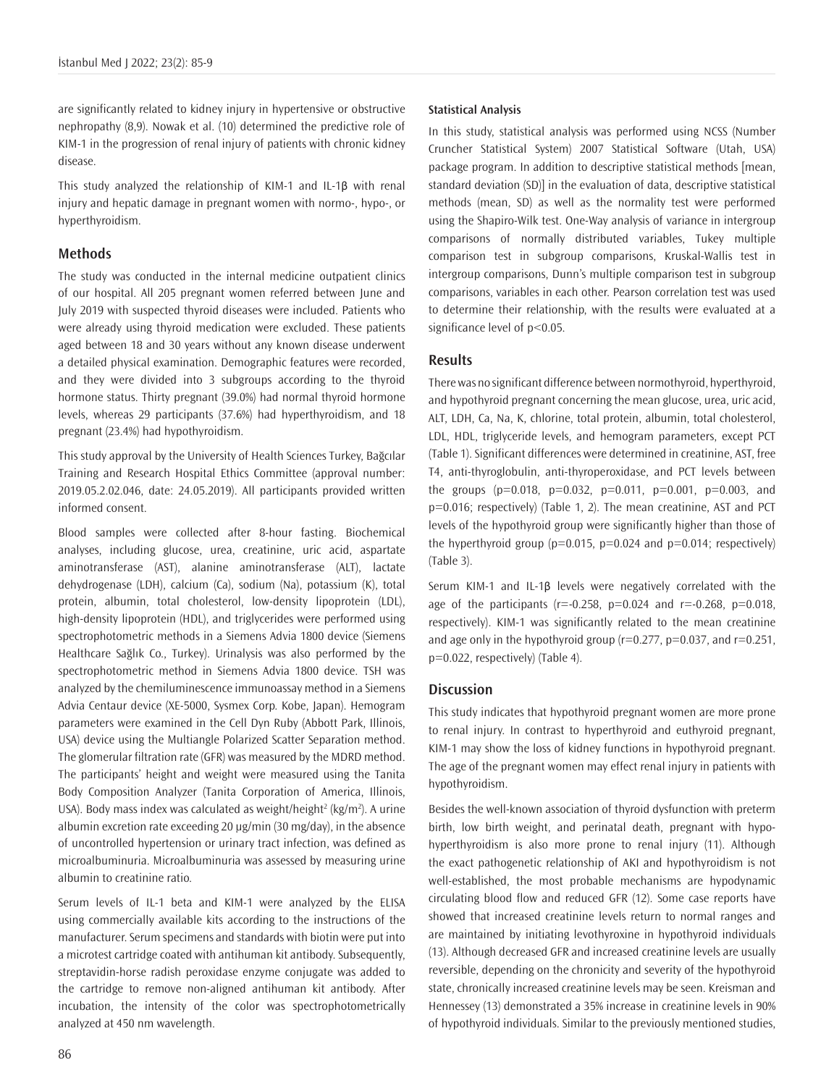are significantly related to kidney injury in hypertensive or obstructive nephropathy (8,9). Nowak et al. (10) determined the predictive role of KIM-1 in the progression of renal injury of patients with chronic kidney disease.

This study analyzed the relationship of KIM-1 and IL-1β with renal injury and hepatic damage in pregnant women with normo-, hypo-, or hyperthyroidism.

## **Methods**

The study was conducted in the internal medicine outpatient clinics of our hospital. All 205 pregnant women referred between June and July 2019 with suspected thyroid diseases were included. Patients who were already using thyroid medication were excluded. These patients aged between 18 and 30 years without any known disease underwent a detailed physical examination. Demographic features were recorded, and they were divided into 3 subgroups according to the thyroid hormone status. Thirty pregnant (39.0%) had normal thyroid hormone levels, whereas 29 participants (37.6%) had hyperthyroidism, and 18 pregnant (23.4%) had hypothyroidism.

This study approval by the University of Health Sciences Turkey, Bağcılar Training and Research Hospital Ethics Committee (approval number: 2019.05.2.02.046, date: 24.05.2019). All participants provided written informed consent.

Blood samples were collected after 8-hour fasting. Biochemical analyses, including glucose, urea, creatinine, uric acid, aspartate aminotransferase (AST), alanine aminotransferase (ALT), lactate dehydrogenase (LDH), calcium (Ca), sodium (Na), potassium (K), total protein, albumin, total cholesterol, low-density lipoprotein (LDL), high-density lipoprotein (HDL), and triglycerides were performed using spectrophotometric methods in a Siemens Advia 1800 device (Siemens Healthcare Sağlık Co., Turkey). Urinalysis was also performed by the spectrophotometric method in Siemens Advia 1800 device. TSH was analyzed by the chemiluminescence immunoassay method in a Siemens Advia Centaur device (XE-5000, Sysmex Corp. Kobe, Japan). Hemogram parameters were examined in the Cell Dyn Ruby (Abbott Park, Illinois, USA) device using the Multiangle Polarized Scatter Separation method. The glomerular filtration rate (GFR) was measured by the MDRD method. The participants' height and weight were measured using the Tanita Body Composition Analyzer (Tanita Corporation of America, Illinois, USA). Body mass index was calculated as weight/height<sup>2</sup> (kg/m<sup>2</sup>). A urine albumin excretion rate exceeding 20 µg/min (30 mg/day), in the absence of uncontrolled hypertension or urinary tract infection, was defined as microalbuminuria. Microalbuminuria was assessed by measuring urine albumin to creatinine ratio.

Serum levels of IL-1 beta and KIM-1 were analyzed by the ELISA using commercially available kits according to the instructions of the manufacturer. Serum specimens and standards with biotin were put into a microtest cartridge coated with antihuman kit antibody. Subsequently, streptavidin-horse radish peroxidase enzyme conjugate was added to the cartridge to remove non-aligned antihuman kit antibody. After incubation, the intensity of the color was spectrophotometrically analyzed at 450 nm wavelength.

#### **Statistical Analysis**

In this study, statistical analysis was performed using NCSS (Number Cruncher Statistical System) 2007 Statistical Software (Utah, USA) package program. In addition to descriptive statistical methods [mean, standard deviation (SD)] in the evaluation of data, descriptive statistical methods (mean, SD) as well as the normality test were performed using the Shapiro-Wilk test. One-Way analysis of variance in intergroup comparisons of normally distributed variables, Tukey multiple comparison test in subgroup comparisons, Kruskal-Wallis test in intergroup comparisons, Dunn's multiple comparison test in subgroup comparisons, variables in each other. Pearson correlation test was used to determine their relationship, with the results were evaluated at a significance level of  $p<0.05$ .

# **Results**

There was no significant difference between normothyroid, hyperthyroid, and hypothyroid pregnant concerning the mean glucose, urea, uric acid, ALT, LDH, Ca, Na, K, chlorine, total protein, albumin, total cholesterol, LDL, HDL, triglyceride levels, and hemogram parameters, except PCT (Table 1). Significant differences were determined in creatinine, AST, free T4, anti-thyroglobulin, anti-thyroperoxidase, and PCT levels between the groups ( $p=0.018$ ,  $p=0.032$ ,  $p=0.011$ ,  $p=0.001$ ,  $p=0.003$ , and p=0.016; respectively) (Table 1, 2). The mean creatinine, AST and PCT levels of the hypothyroid group were significantly higher than those of the hyperthyroid group ( $p=0.015$ ,  $p=0.024$  and  $p=0.014$ ; respectively) (Table 3).

Serum KIM-1 and IL-1β levels were negatively correlated with the age of the participants ( $r = -0.258$ ,  $p = 0.024$  and  $r = -0.268$ ,  $p = 0.018$ , respectively). KIM-1 was significantly related to the mean creatinine and age only in the hypothyroid group ( $r=0.277$ ,  $p=0.037$ , and  $r=0.251$ , p=0.022, respectively) (Table 4).

#### **Discussion**

This study indicates that hypothyroid pregnant women are more prone to renal injury. In contrast to hyperthyroid and euthyroid pregnant, KIM-1 may show the loss of kidney functions in hypothyroid pregnant. The age of the pregnant women may effect renal injury in patients with hypothyroidism.

Besides the well-known association of thyroid dysfunction with preterm birth, low birth weight, and perinatal death, pregnant with hypohyperthyroidism is also more prone to renal injury (11). Although the exact pathogenetic relationship of AKI and hypothyroidism is not well-established, the most probable mechanisms are hypodynamic circulating blood flow and reduced GFR (12). Some case reports have showed that increased creatinine levels return to normal ranges and are maintained by initiating levothyroxine in hypothyroid individuals (13). Although decreased GFR and increased creatinine levels are usually reversible, depending on the chronicity and severity of the hypothyroid state, chronically increased creatinine levels may be seen. Kreisman and Hennessey (13) demonstrated a 35% increase in creatinine levels in 90% of hypothyroid individuals. Similar to the previously mentioned studies,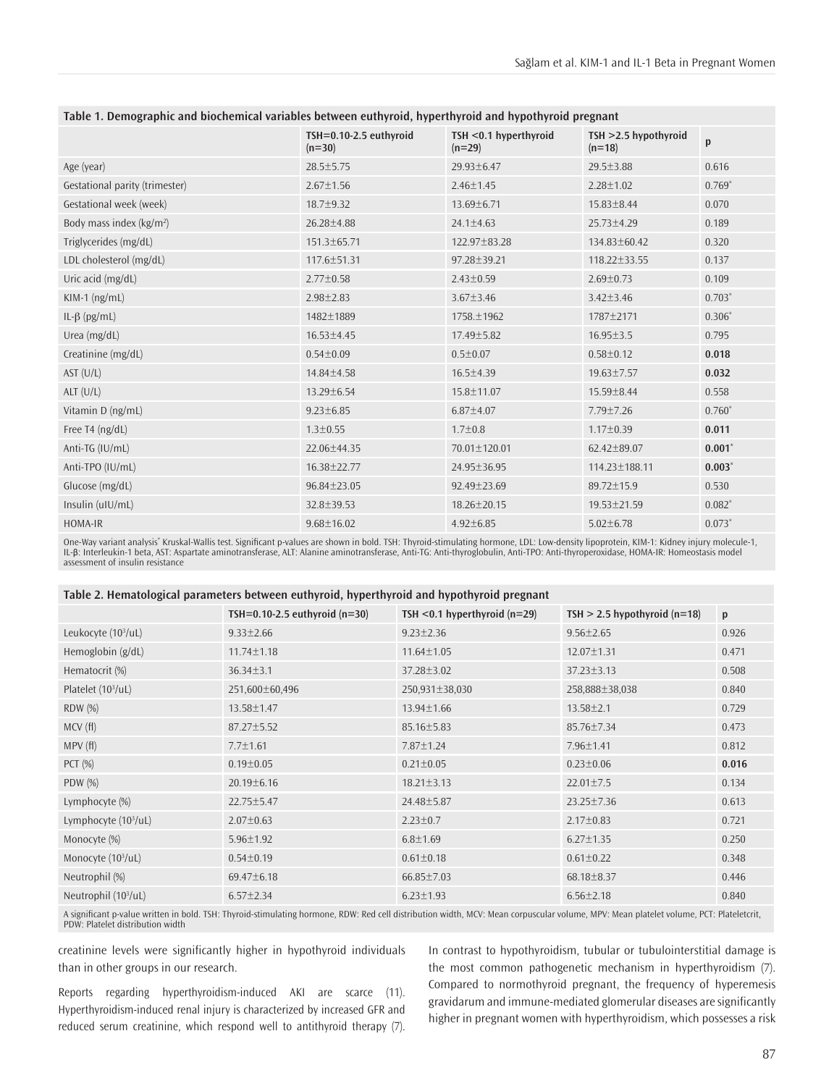| ravic 1. Demographic and bioenemical variables between cuthyrold, hyperthyrold and hypothyrold pregnant |                                    |                                   |                                     |          |  |  |
|---------------------------------------------------------------------------------------------------------|------------------------------------|-----------------------------------|-------------------------------------|----------|--|--|
|                                                                                                         | TSH=0.10-2.5 euthyroid<br>$(n=30)$ | TSH <0.1 hyperthyroid<br>$(n=29)$ | $TSH > 2.5$ hypothyroid<br>$(n=18)$ | p        |  |  |
| Age (year)                                                                                              | 28.5±5.75                          | $29.93 \pm 6.47$                  | $29.5 \pm 3.88$                     | 0.616    |  |  |
| Gestational parity (trimester)                                                                          | $2.67 \pm 1.56$                    | $2.46 \pm 1.45$                   | $2.28 \pm 1.02$                     | $0.769*$ |  |  |
| Gestational week (week)                                                                                 | 18.7±9.32                          | $13.69 \pm 6.71$                  | $15.83 \pm 8.44$                    | 0.070    |  |  |
| Body mass index ( $kg/m2$ )                                                                             | $26.28 \pm 4.88$                   | $24.1 \pm 4.63$                   | $25.73 \pm 4.29$                    | 0.189    |  |  |
| Triglycerides (mg/dL)                                                                                   | 151.3±65.71                        | 122.97±83.28                      | 134.83±60.42                        | 0.320    |  |  |
| LDL cholesterol (mg/dL)                                                                                 | 117.6±51.31                        | 97.28±39.21                       | 118.22±33.55                        | 0.137    |  |  |
| Uric acid (mg/dL)                                                                                       | $2.77 \pm 0.58$                    | $2.43 \pm 0.59$                   | $2.69 \pm 0.73$                     | 0.109    |  |  |
| KIM-1 (ng/mL)                                                                                           | $2.98 \pm 2.83$                    | $3.67 \pm 3.46$                   | $3.42 \pm 3.46$                     | $0.703*$ |  |  |
| IL- $\beta$ (pg/mL)                                                                                     | 1482±1889                          | 1758.±1962                        | 1787±2171                           | $0.306*$ |  |  |
| Urea (mg/dL)                                                                                            | 16.53±4.45                         | 17.49±5.82                        | $16.95 \pm 3.5$                     | 0.795    |  |  |
| Creatinine (mg/dL)                                                                                      | $0.54 \pm 0.09$                    | $0.5 \pm 0.07$                    | $0.58 \pm 0.12$                     | 0.018    |  |  |
| AST (U/L)                                                                                               | 14.84±4.58                         | $16.5 \pm 4.39$                   | 19.63±7.57                          | 0.032    |  |  |
| ALT(U/L)                                                                                                | 13.29±6.54                         | 15.8±11.07                        | 15.59±8.44                          | 0.558    |  |  |
| Vitamin D (ng/mL)                                                                                       | $9.23 \pm 6.85$                    | $6.87 \pm 4.07$                   | $7.79 \pm 7.26$                     | $0.760*$ |  |  |
| Free T <sub>4</sub> ( $ng/dL$ )                                                                         | $1.3 \pm 0.55$                     | $1.7 \pm 0.8$                     | $1.17 \pm 0.39$                     | 0.011    |  |  |
| Anti-TG (IU/mL)                                                                                         | 22.06±44.35                        | 70.01±120.01                      | $62.42 \pm 89.07$                   | 0.001    |  |  |
| Anti-TPO (IU/mL)                                                                                        | 16.38±22.77                        | 24.95±36.95                       | 114.23±188.11                       | $0.003*$ |  |  |
| Glucose (mg/dL)                                                                                         | 96.84±23.05                        | 92.49±23.69                       | 89.72±15.9                          | 0.530    |  |  |
| Insulin $(uIU/mL)$                                                                                      | 32.8±39.53                         | 18.26±20.15                       | 19.53±21.59                         | $0.082*$ |  |  |
| HOMA-IR                                                                                                 | $9.68 \pm 16.02$                   | $4.92 \pm 6.85$                   | $5.02 \pm 6.78$                     | $0.073*$ |  |  |

**Table 1. Demographic and biochemical variables between euthyroid, hyperthyroid and hypothyroid pregnant**

One-Way variant analysis\* Kruskal-Wallis test. Significant p-values are shown in bold. TSH: Thyroid-stimulating hormone, LDL: Low-density lipoprotein, KIM-1: Kidney injury molecule-1, IL-β: Interleukin-1 beta, AST: Aspartate aminotransferase, ALT: Alanine aminotransferase, Anti-TG: Anti-thyroglobulin, Anti-TPO: Anti-thyroperoxidase, HOMA-IR: Homeostasis model assessment of insulin resistance

| Table 2. Hematological parameters between euthyroid, hyperthyroid and hypothyroid pregnant |  |  |  |
|--------------------------------------------------------------------------------------------|--|--|--|
|                                                                                            |  |  |  |

|                                  | TSH=0.10-2.5 euthyroid $(n=30)$ | TSH $<$ 0.1 hyperthyroid (n=29) | $TSH > 2.5$ hypothyroid (n=18) | p     |
|----------------------------------|---------------------------------|---------------------------------|--------------------------------|-------|
| Leukocyte $(10^3/\mu L)$         | $9.33 \pm 2.66$                 | $9.23 \pm 2.36$                 | $9.56 \pm 2.65$                | 0.926 |
| Hemoglobin (g/dL)                | $11.74 \pm 1.18$                | $11.64 \pm 1.05$                | $12.07 \pm 1.31$               | 0.471 |
| Hematocrit (%)                   | $36.34 \pm 3.1$                 | 37.28±3.02                      | $37.23 \pm 3.13$               | 0.508 |
| Platelet (10 <sup>3</sup> /uL)   | 251,600±60,496                  | 250,931±38,030                  | 258,888±38,038                 | 0.840 |
| <b>RDW</b> (%)                   | 13.58±1.47                      | $13.94 \pm 1.66$                | $13.58 \pm 2.1$                | 0.729 |
| MCV(H)                           | $87.27 \pm 5.52$                | $85.16 \pm 5.83$                | 85.76±7.34                     | 0.473 |
| MPV(f)                           | $7.7 \pm 1.61$                  | 7.87±1.24                       | $7.96 \pm 1.41$                | 0.812 |
| $PCT$ $%$                        | $0.19 \pm 0.05$                 | $0.21 \pm 0.05$                 | $0.23 \pm 0.06$                | 0.016 |
| $PDW(\%)$                        | $20.19 \pm 6.16$                | $18.21 \pm 3.13$                | $22.01 \pm 7.5$                | 0.134 |
| Lymphocyte (%)                   | 22.75±5.47                      | 24.48±5.87                      | $23.25 \pm 7.36$               | 0.613 |
| Lymphocyte $(103/uL)$            | $2.07 \pm 0.63$                 | $2.23 \pm 0.7$                  | $2.17 \pm 0.83$                | 0.721 |
| Monocyte (%)                     | $5.96 \pm 1.92$                 | $6.8 \pm 1.69$                  | $6.27 \pm 1.35$                | 0.250 |
| Monocyte $(103/uL)$              | $0.54 \pm 0.19$                 | $0.61 \pm 0.18$                 | $0.61 \pm 0.22$                | 0.348 |
| Neutrophil (%)                   | 69.47±6.18                      | $66.85 \pm 7.03$                | $68.18 \pm 8.37$               | 0.446 |
| Neutrophil (10 <sup>3</sup> /uL) | $6.57 \pm 2.34$                 | $6.23 \pm 1.93$                 | $6.56 \pm 2.18$                | 0.840 |

A significant p-value written in bold. TSH: Thyroid-stimulating hormone, RDW: Red cell distribution width, MCV: Mean corpuscular volume, MPV: Mean platelet volume, PCT: Plateletcrit, PDW: Platelet distribution width

creatinine levels were significantly higher in hypothyroid individuals than in other groups in our research.

Reports regarding hyperthyroidism-induced AKI are scarce (11). Hyperthyroidism-induced renal injury is characterized by increased GFR and reduced serum creatinine, which respond well to antithyroid therapy (7).

In contrast to hypothyroidism, tubular or tubulointerstitial damage is the most common pathogenetic mechanism in hyperthyroidism (7). Compared to normothyroid pregnant, the frequency of hyperemesis gravidarum and immune-mediated glomerular diseases are significantly higher in pregnant women with hyperthyroidism, which possesses a risk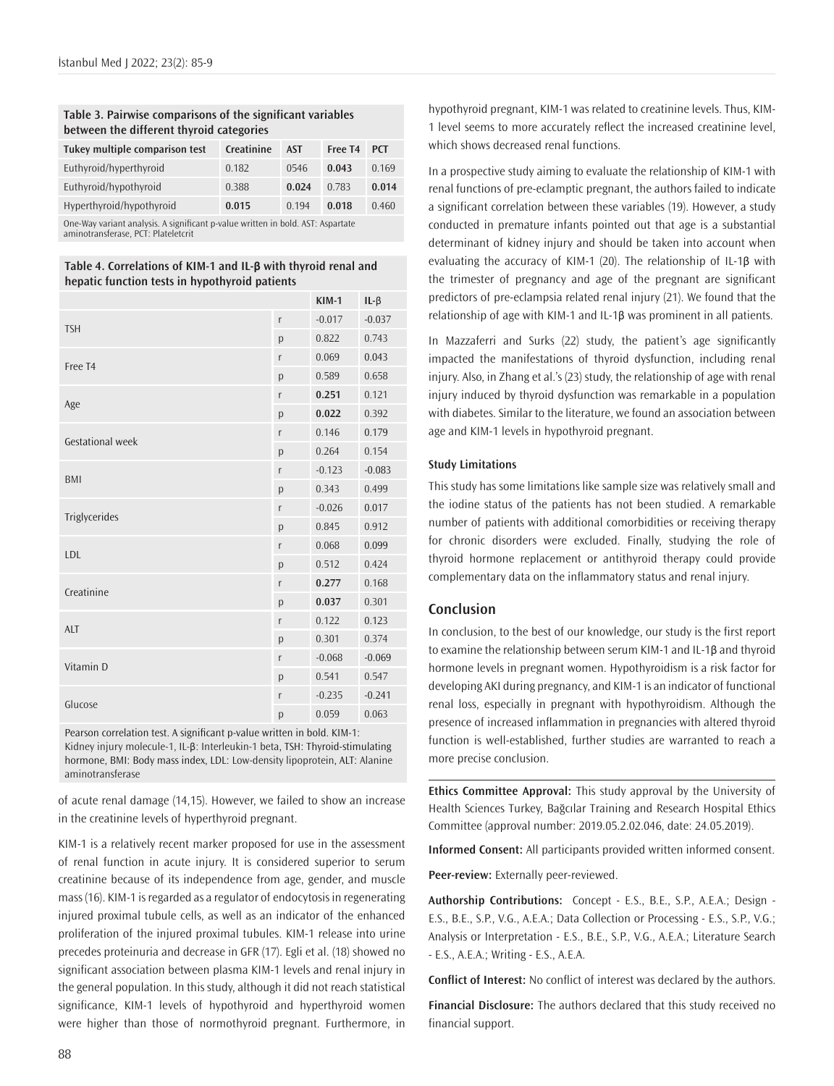# **Table 3. Pairwise comparisons of the significant variables between the different thyroid categories**

| Tukey multiple comparison test                                                  | Creatinine | <b>AST</b> | Free T <sub>4</sub> | <b>PCT</b> |
|---------------------------------------------------------------------------------|------------|------------|---------------------|------------|
| Euthyroid/hyperthyroid                                                          | 0.182      | 0546       | 0.043               | 0.169      |
| Euthyroid/hypothyroid                                                           | 0.388      | 0.024      | 0.783               | 0.014      |
| Hyperthyroid/hypothyroid                                                        | 0.015      | 0.194      | 0.018               | 0.460      |
| On a Warrington to all the Asian if and a rates multiple in hald ACT. Associate |            |            |                     |            |

One-Way variant analysis. A significant p-value written in bold. AST: Aspartate aminotransferase, PCT: Plateletcrit

**Table 4. Correlations of KIM-1 and IL-β with thyroid renal and hepatic function tests in hypothyroid patients** 

|                     |   | $KIM-1$  | $IL - \beta$ |
|---------------------|---|----------|--------------|
| <b>TSH</b>          | r | $-0.017$ | $-0.037$     |
|                     | p | 0.822    | 0.743        |
| Free T <sub>4</sub> | r | 0.069    | 0.043        |
|                     | p | 0.589    | 0.658        |
| Age                 | r | 0.251    | 0.121        |
|                     | p | 0.022    | 0.392        |
| Gestational week    | r | 0.146    | 0.179        |
|                     | p | 0.264    | 0.154        |
| <b>BMI</b>          | r | $-0.123$ | $-0.083$     |
|                     | p | 0.343    | 0.499        |
|                     | r | $-0.026$ | 0.017        |
| Triglycerides       | p | 0.845    | 0.912        |
| LDL                 | r | 0.068    | 0.099        |
|                     | p | 0.512    | 0.424        |
| Creatinine          | r | 0.277    | 0.168        |
|                     | p | 0.037    | 0.301        |
| <b>ALT</b>          | r | 0.122    | 0.123        |
|                     | p | 0.301    | 0.374        |
| Vitamin D           | r | $-0.068$ | $-0.069$     |
|                     | p | 0.541    | 0.547        |
| Glucose             | r | $-0.235$ | $-0.241$     |
|                     | p | 0.059    | 0.063        |

Pearson correlation test. A significant p-value written in bold. KIM-1: Kidney injury molecule-1, IL-β: Interleukin-1 beta, TSH: Thyroid-stimulating hormone, BMI: Body mass index, LDL: Low-density lipoprotein, ALT: Alanine aminotransferase

of acute renal damage (14,15). However, we failed to show an increase in the creatinine levels of hyperthyroid pregnant.

KIM-1 is a relatively recent marker proposed for use in the assessment of renal function in acute injury. It is considered superior to serum creatinine because of its independence from age, gender, and muscle mass (16). KIM-1 is regarded as a regulator of endocytosis in regenerating injured proximal tubule cells, as well as an indicator of the enhanced proliferation of the injured proximal tubules. KIM-1 release into urine precedes proteinuria and decrease in GFR (17). Egli et al. (18) showed no significant association between plasma KIM-1 levels and renal injury in the general population. In this study, although it did not reach statistical significance, KIM-1 levels of hypothyroid and hyperthyroid women were higher than those of normothyroid pregnant. Furthermore, in

hypothyroid pregnant, KIM-1 was related to creatinine levels. Thus, KIM-1 level seems to more accurately reflect the increased creatinine level, which shows decreased renal functions.

In a prospective study aiming to evaluate the relationship of KIM-1 with renal functions of pre-eclamptic pregnant, the authors failed to indicate a significant correlation between these variables (19). However, a study conducted in premature infants pointed out that age is a substantial determinant of kidney injury and should be taken into account when evaluating the accuracy of KIM-1 (20). The relationship of IL-1β with the trimester of pregnancy and age of the pregnant are significant predictors of pre-eclampsia related renal injury (21). We found that the relationship of age with KIM-1 and IL-1β was prominent in all patients.

In Mazzaferri and Surks (22) study, the patient's age significantly impacted the manifestations of thyroid dysfunction, including renal injury. Also, in Zhang et al.'s (23) study, the relationship of age with renal injury induced by thyroid dysfunction was remarkable in a population with diabetes. Similar to the literature, we found an association between age and KIM-1 levels in hypothyroid pregnant.

#### **Study Limitations**

This study has some limitations like sample size was relatively small and the iodine status of the patients has not been studied. A remarkable number of patients with additional comorbidities or receiving therapy for chronic disorders were excluded. Finally, studying the role of thyroid hormone replacement or antithyroid therapy could provide complementary data on the inflammatory status and renal injury.

# **Conclusion**

In conclusion, to the best of our knowledge, our study is the first report to examine the relationship between serum KIM-1 and IL-1β and thyroid hormone levels in pregnant women. Hypothyroidism is a risk factor for developing AKI during pregnancy, and KIM-1 is an indicator of functional renal loss, especially in pregnant with hypothyroidism. Although the presence of increased inflammation in pregnancies with altered thyroid function is well-established, further studies are warranted to reach a more precise conclusion.

**Ethics Committee Approval:** This study approval by the University of Health Sciences Turkey, Bağcılar Training and Research Hospital Ethics Committee (approval number: 2019.05.2.02.046, date: 24.05.2019).

**Informed Consent:** All participants provided written informed consent.

**Peer-review:** Externally peer-reviewed.

**Authorship Contributions:** Concept - E.S., B.E., S.P., A.E.A.; Design - E.S., B.E., S.P., V.G., A.E.A.; Data Collection or Processing - E.S., S.P., V.G.; Analysis or Interpretation - E.S., B.E., S.P., V.G., A.E.A.; Literature Search - E.S., A.E.A.; Writing - E.S., A.E.A.

**Conflict of Interest:** No conflict of interest was declared by the authors.

**Financial Disclosure:** The authors declared that this study received no financial support.